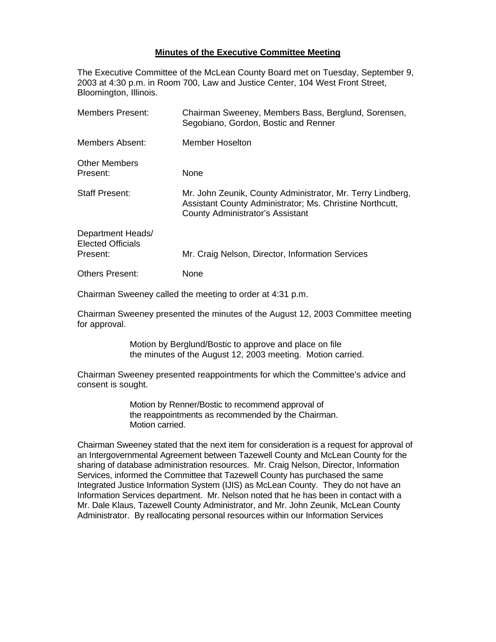## **Minutes of the Executive Committee Meeting**

The Executive Committee of the McLean County Board met on Tuesday, September 9, 2003 at 4:30 p.m. in Room 700, Law and Justice Center, 104 West Front Street, Bloomington, Illinois.

| Members Present:                                          | Chairman Sweeney, Members Bass, Berglund, Sorensen,<br>Segobiano, Gordon, Bostic and Renner                                                                       |
|-----------------------------------------------------------|-------------------------------------------------------------------------------------------------------------------------------------------------------------------|
| Members Absent:                                           | <b>Member Hoselton</b>                                                                                                                                            |
| <b>Other Members</b><br>Present:                          | <b>None</b>                                                                                                                                                       |
| <b>Staff Present:</b>                                     | Mr. John Zeunik, County Administrator, Mr. Terry Lindberg,<br>Assistant County Administrator; Ms. Christine Northcutt,<br><b>County Administrator's Assistant</b> |
| Department Heads/<br><b>Elected Officials</b><br>Present: | Mr. Craig Nelson, Director, Information Services                                                                                                                  |
| <b>Others Present:</b>                                    | None                                                                                                                                                              |

Chairman Sweeney called the meeting to order at 4:31 p.m.

Chairman Sweeney presented the minutes of the August 12, 2003 Committee meeting for approval.

> Motion by Berglund/Bostic to approve and place on file the minutes of the August 12, 2003 meeting. Motion carried.

Chairman Sweeney presented reappointments for which the Committee's advice and consent is sought.

> Motion by Renner/Bostic to recommend approval of the reappointments as recommended by the Chairman. Motion carried.

Chairman Sweeney stated that the next item for consideration is a request for approval of an Intergovernmental Agreement between Tazewell County and McLean County for the sharing of database administration resources. Mr. Craig Nelson, Director, Information Services, informed the Committee that Tazewell County has purchased the same Integrated Justice Information System (IJIS) as McLean County. They do not have an Information Services department. Mr. Nelson noted that he has been in contact with a Mr. Dale Klaus, Tazewell County Administrator, and Mr. John Zeunik, McLean County Administrator. By reallocating personal resources within our Information Services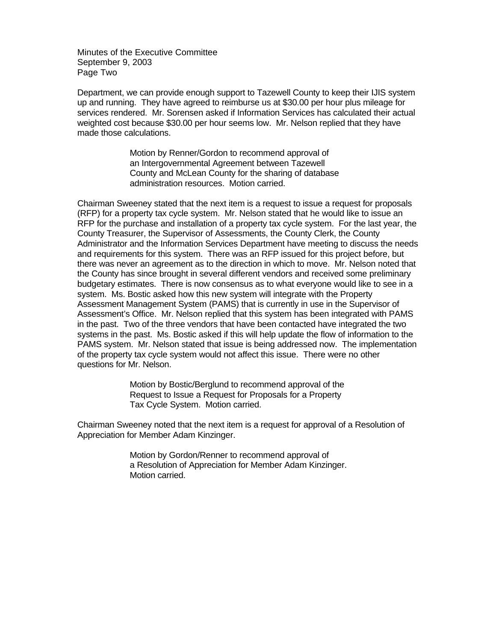Minutes of the Executive Committee September 9, 2003 Page Two

Department, we can provide enough support to Tazewell County to keep their IJIS system up and running. They have agreed to reimburse us at \$30.00 per hour plus mileage for services rendered. Mr. Sorensen asked if Information Services has calculated their actual weighted cost because \$30.00 per hour seems low. Mr. Nelson replied that they have made those calculations.

> Motion by Renner/Gordon to recommend approval of an Intergovernmental Agreement between Tazewell County and McLean County for the sharing of database administration resources. Motion carried.

Chairman Sweeney stated that the next item is a request to issue a request for proposals (RFP) for a property tax cycle system. Mr. Nelson stated that he would like to issue an RFP for the purchase and installation of a property tax cycle system. For the last year, the County Treasurer, the Supervisor of Assessments, the County Clerk, the County Administrator and the Information Services Department have meeting to discuss the needs and requirements for this system. There was an RFP issued for this project before, but there was never an agreement as to the direction in which to move. Mr. Nelson noted that the County has since brought in several different vendors and received some preliminary budgetary estimates. There is now consensus as to what everyone would like to see in a system. Ms. Bostic asked how this new system will integrate with the Property Assessment Management System (PAMS) that is currently in use in the Supervisor of Assessment's Office. Mr. Nelson replied that this system has been integrated with PAMS in the past. Two of the three vendors that have been contacted have integrated the two systems in the past. Ms. Bostic asked if this will help update the flow of information to the PAMS system. Mr. Nelson stated that issue is being addressed now. The implementation of the property tax cycle system would not affect this issue. There were no other questions for Mr. Nelson.

> Motion by Bostic/Berglund to recommend approval of the Request to Issue a Request for Proposals for a Property Tax Cycle System. Motion carried.

Chairman Sweeney noted that the next item is a request for approval of a Resolution of Appreciation for Member Adam Kinzinger.

> Motion by Gordon/Renner to recommend approval of a Resolution of Appreciation for Member Adam Kinzinger. Motion carried.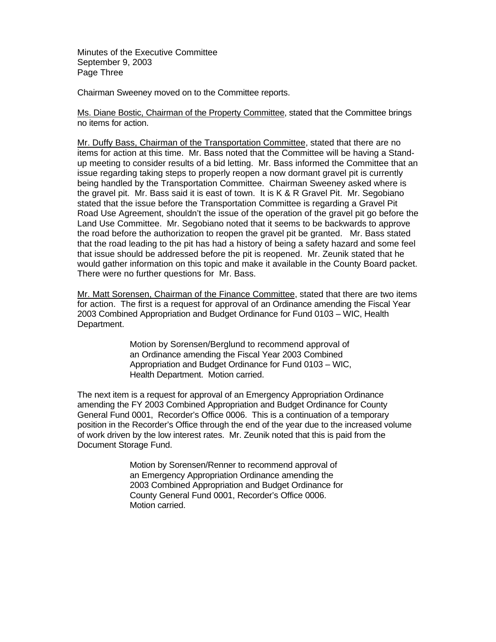Minutes of the Executive Committee September 9, 2003 Page Three

Chairman Sweeney moved on to the Committee reports.

Ms. Diane Bostic, Chairman of the Property Committee, stated that the Committee brings no items for action.

Mr. Duffy Bass, Chairman of the Transportation Committee, stated that there are no items for action at this time. Mr. Bass noted that the Committee will be having a Standup meeting to consider results of a bid letting. Mr. Bass informed the Committee that an issue regarding taking steps to properly reopen a now dormant gravel pit is currently being handled by the Transportation Committee. Chairman Sweeney asked where is the gravel pit. Mr. Bass said it is east of town. It is K & R Gravel Pit. Mr. Segobiano stated that the issue before the Transportation Committee is regarding a Gravel Pit Road Use Agreement, shouldn't the issue of the operation of the gravel pit go before the Land Use Committee. Mr. Segobiano noted that it seems to be backwards to approve the road before the authorization to reopen the gravel pit be granted. Mr. Bass stated that the road leading to the pit has had a history of being a safety hazard and some feel that issue should be addressed before the pit is reopened. Mr. Zeunik stated that he would gather information on this topic and make it available in the County Board packet. There were no further questions for Mr. Bass.

Mr. Matt Sorensen, Chairman of the Finance Committee, stated that there are two items for action. The first is a request for approval of an Ordinance amending the Fiscal Year 2003 Combined Appropriation and Budget Ordinance for Fund 0103 – WIC, Health Department.

> Motion by Sorensen/Berglund to recommend approval of an Ordinance amending the Fiscal Year 2003 Combined Appropriation and Budget Ordinance for Fund 0103 – WIC, Health Department. Motion carried.

The next item is a request for approval of an Emergency Appropriation Ordinance amending the FY 2003 Combined Appropriation and Budget Ordinance for County General Fund 0001, Recorder's Office 0006. This is a continuation of a temporary position in the Recorder's Office through the end of the year due to the increased volume of work driven by the low interest rates. Mr. Zeunik noted that this is paid from the Document Storage Fund.

> Motion by Sorensen/Renner to recommend approval of an Emergency Appropriation Ordinance amending the 2003 Combined Appropriation and Budget Ordinance for County General Fund 0001, Recorder's Office 0006. Motion carried.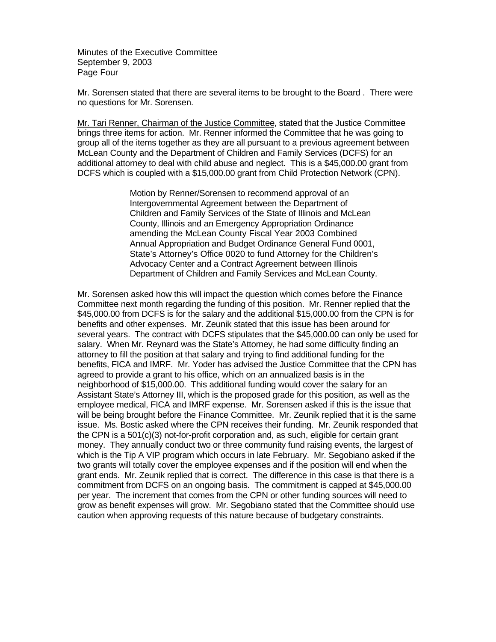Minutes of the Executive Committee September 9, 2003 Page Four

Mr. Sorensen stated that there are several items to be brought to the Board . There were no questions for Mr. Sorensen.

Mr. Tari Renner, Chairman of the Justice Committee, stated that the Justice Committee brings three items for action. Mr. Renner informed the Committee that he was going to group all of the items together as they are all pursuant to a previous agreement between McLean County and the Department of Children and Family Services (DCFS) for an additional attorney to deal with child abuse and neglect. This is a \$45,000.00 grant from DCFS which is coupled with a \$15,000.00 grant from Child Protection Network (CPN).

> Motion by Renner/Sorensen to recommend approval of an Intergovernmental Agreement between the Department of Children and Family Services of the State of Illinois and McLean County, Illinois and an Emergency Appropriation Ordinance amending the McLean County Fiscal Year 2003 Combined Annual Appropriation and Budget Ordinance General Fund 0001, State's Attorney's Office 0020 to fund Attorney for the Children's Advocacy Center and a Contract Agreement between Illinois Department of Children and Family Services and McLean County.

Mr. Sorensen asked how this will impact the question which comes before the Finance Committee next month regarding the funding of this position. Mr. Renner replied that the \$45,000.00 from DCFS is for the salary and the additional \$15,000.00 from the CPN is for benefits and other expenses. Mr. Zeunik stated that this issue has been around for several years. The contract with DCFS stipulates that the \$45,000.00 can only be used for salary. When Mr. Reynard was the State's Attorney, he had some difficulty finding an attorney to fill the position at that salary and trying to find additional funding for the benefits, FICA and IMRF. Mr. Yoder has advised the Justice Committee that the CPN has agreed to provide a grant to his office, which on an annualized basis is in the neighborhood of \$15,000.00. This additional funding would cover the salary for an Assistant State's Attorney III, which is the proposed grade for this position, as well as the employee medical, FICA and IMRF expense. Mr. Sorensen asked if this is the issue that will be being brought before the Finance Committee. Mr. Zeunik replied that it is the same issue. Ms. Bostic asked where the CPN receives their funding. Mr. Zeunik responded that the CPN is a 501(c)(3) not-for-profit corporation and, as such, eligible for certain grant money. They annually conduct two or three community fund raising events, the largest of which is the Tip A VIP program which occurs in late February. Mr. Segobiano asked if the two grants will totally cover the employee expenses and if the position will end when the grant ends. Mr. Zeunik replied that is correct. The difference in this case is that there is a commitment from DCFS on an ongoing basis. The commitment is capped at \$45,000.00 per year. The increment that comes from the CPN or other funding sources will need to grow as benefit expenses will grow. Mr. Segobiano stated that the Committee should use caution when approving requests of this nature because of budgetary constraints.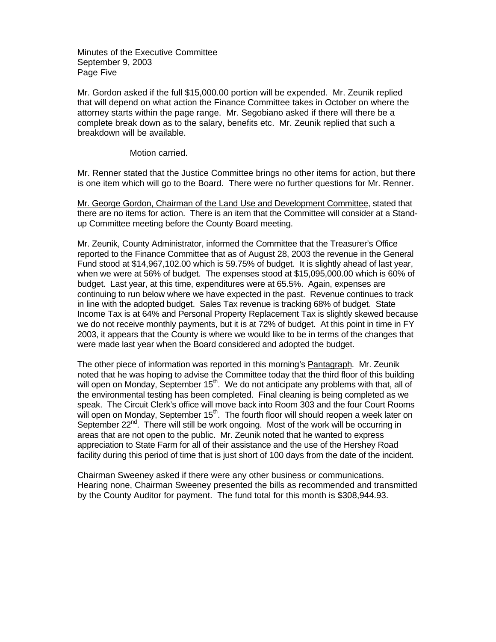Minutes of the Executive Committee September 9, 2003 Page Five

Mr. Gordon asked if the full \$15,000.00 portion will be expended. Mr. Zeunik replied that will depend on what action the Finance Committee takes in October on where the attorney starts within the page range. Mr. Segobiano asked if there will there be a complete break down as to the salary, benefits etc. Mr. Zeunik replied that such a breakdown will be available.

Motion carried.

Mr. Renner stated that the Justice Committee brings no other items for action, but there is one item which will go to the Board. There were no further questions for Mr. Renner.

Mr. George Gordon, Chairman of the Land Use and Development Committee, stated that there are no items for action. There is an item that the Committee will consider at a Standup Committee meeting before the County Board meeting.

Mr. Zeunik, County Administrator, informed the Committee that the Treasurer's Office reported to the Finance Committee that as of August 28, 2003 the revenue in the General Fund stood at \$14,967,102.00 which is 59.75% of budget. It is slightly ahead of last year, when we were at 56% of budget. The expenses stood at \$15,095,000.00 which is 60% of budget. Last year, at this time, expenditures were at 65.5%. Again, expenses are continuing to run below where we have expected in the past. Revenue continues to track in line with the adopted budget. Sales Tax revenue is tracking 68% of budget. State Income Tax is at 64% and Personal Property Replacement Tax is slightly skewed because we do not receive monthly payments, but it is at 72% of budget. At this point in time in FY 2003, it appears that the County is where we would like to be in terms of the changes that were made last year when the Board considered and adopted the budget.

The other piece of information was reported in this morning's Pantagraph. Mr. Zeunik noted that he was hoping to advise the Committee today that the third floor of this building will open on Monday, September  $15<sup>th</sup>$ . We do not anticipate any problems with that, all of the environmental testing has been completed. Final cleaning is being completed as we speak. The Circuit Clerk's office will move back into Room 303 and the four Court Rooms will open on Monday, September  $15<sup>th</sup>$ . The fourth floor will should reopen a week later on September 22<sup>nd</sup>. There will still be work ongoing. Most of the work will be occurring in areas that are not open to the public. Mr. Zeunik noted that he wanted to express appreciation to State Farm for all of their assistance and the use of the Hershey Road facility during this period of time that is just short of 100 days from the date of the incident.

Chairman Sweeney asked if there were any other business or communications. Hearing none, Chairman Sweeney presented the bills as recommended and transmitted by the County Auditor for payment. The fund total for this month is \$308,944.93.